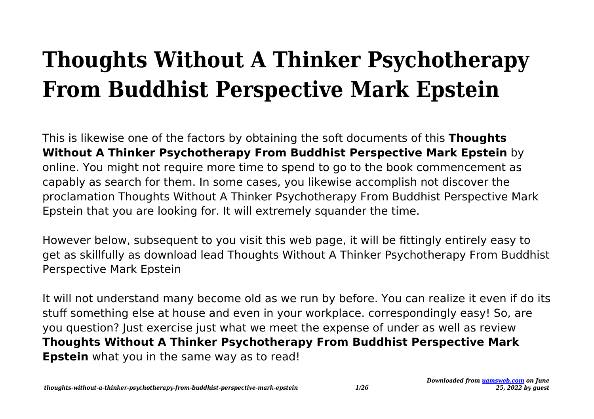## **Thoughts Without A Thinker Psychotherapy From Buddhist Perspective Mark Epstein**

This is likewise one of the factors by obtaining the soft documents of this **Thoughts Without A Thinker Psychotherapy From Buddhist Perspective Mark Epstein** by online. You might not require more time to spend to go to the book commencement as capably as search for them. In some cases, you likewise accomplish not discover the proclamation Thoughts Without A Thinker Psychotherapy From Buddhist Perspective Mark Epstein that you are looking for. It will extremely squander the time.

However below, subsequent to you visit this web page, it will be fittingly entirely easy to get as skillfully as download lead Thoughts Without A Thinker Psychotherapy From Buddhist Perspective Mark Epstein

It will not understand many become old as we run by before. You can realize it even if do its stuff something else at house and even in your workplace. correspondingly easy! So, are you question? Just exercise just what we meet the expense of under as well as review **Thoughts Without A Thinker Psychotherapy From Buddhist Perspective Mark Epstein** what you in the same way as to read!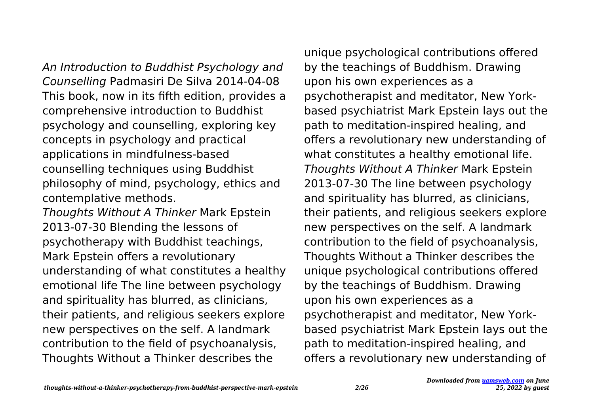An Introduction to Buddhist Psychology and Counselling Padmasiri De Silva 2014-04-08 This book, now in its fifth edition, provides a comprehensive introduction to Buddhist psychology and counselling, exploring key concepts in psychology and practical applications in mindfulness-based counselling techniques using Buddhist philosophy of mind, psychology, ethics and contemplative methods.

Thoughts Without A Thinker Mark Epstein 2013-07-30 Blending the lessons of psychotherapy with Buddhist teachings, Mark Epstein offers a revolutionary understanding of what constitutes a healthy emotional life The line between psychology and spirituality has blurred, as clinicians, their patients, and religious seekers explore new perspectives on the self. A landmark contribution to the field of psychoanalysis, Thoughts Without a Thinker describes the

unique psychological contributions offered by the teachings of Buddhism. Drawing upon his own experiences as a psychotherapist and meditator, New Yorkbased psychiatrist Mark Epstein lays out the path to meditation-inspired healing, and offers a revolutionary new understanding of what constitutes a healthy emotional life. Thoughts Without A Thinker Mark Epstein 2013-07-30 The line between psychology and spirituality has blurred, as clinicians, their patients, and religious seekers explore new perspectives on the self. A landmark contribution to the field of psychoanalysis, Thoughts Without a Thinker describes the unique psychological contributions offered by the teachings of Buddhism. Drawing upon his own experiences as a psychotherapist and meditator, New Yorkbased psychiatrist Mark Epstein lays out the path to meditation-inspired healing, and offers a revolutionary new understanding of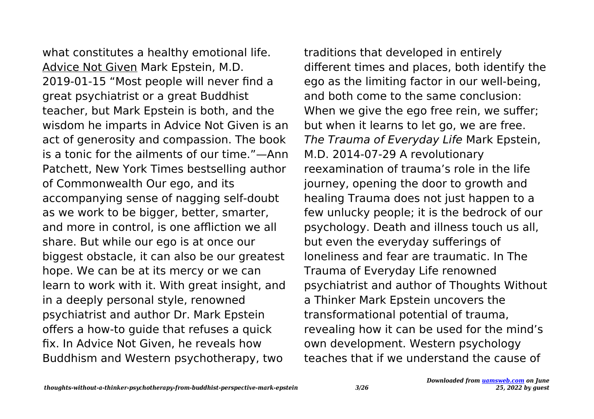what constitutes a healthy emotional life. Advice Not Given Mark Epstein, M.D. 2019-01-15 "Most people will never find a great psychiatrist or a great Buddhist teacher, but Mark Epstein is both, and the wisdom he imparts in Advice Not Given is an act of generosity and compassion. The book is a tonic for the ailments of our time."—Ann Patchett, New York Times bestselling author of Commonwealth Our ego, and its accompanying sense of nagging self-doubt as we work to be bigger, better, smarter, and more in control, is one affliction we all share. But while our ego is at once our biggest obstacle, it can also be our greatest hope. We can be at its mercy or we can learn to work with it. With great insight, and in a deeply personal style, renowned psychiatrist and author Dr. Mark Epstein offers a how-to guide that refuses a quick fix. In Advice Not Given, he reveals how Buddhism and Western psychotherapy, two

traditions that developed in entirely different times and places, both identify the ego as the limiting factor in our well-being, and both come to the same conclusion: When we give the ego free rein, we suffer; but when it learns to let go, we are free. The Trauma of Everyday Life Mark Epstein, M.D. 2014-07-29 A revolutionary reexamination of trauma's role in the life journey, opening the door to growth and healing Trauma does not just happen to a few unlucky people; it is the bedrock of our psychology. Death and illness touch us all, but even the everyday sufferings of loneliness and fear are traumatic. In The Trauma of Everyday Life renowned psychiatrist and author of Thoughts Without a Thinker Mark Epstein uncovers the transformational potential of trauma, revealing how it can be used for the mind's own development. Western psychology teaches that if we understand the cause of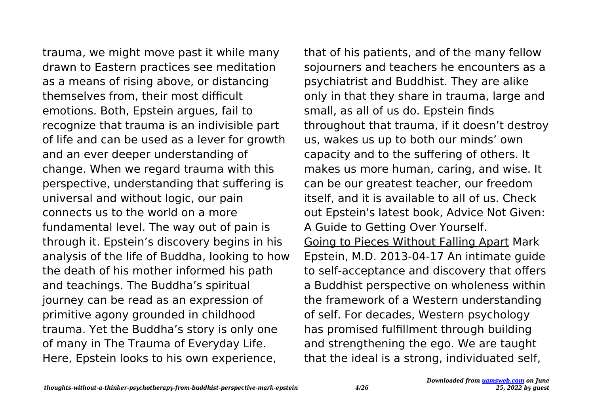trauma, we might move past it while many drawn to Eastern practices see meditation as a means of rising above, or distancing themselves from, their most difficult emotions. Both, Epstein argues, fail to recognize that trauma is an indivisible part of life and can be used as a lever for growth and an ever deeper understanding of change. When we regard trauma with this perspective, understanding that suffering is universal and without logic, our pain connects us to the world on a more fundamental level. The way out of pain is through it. Epstein's discovery begins in his analysis of the life of Buddha, looking to how the death of his mother informed his path and teachings. The Buddha's spiritual journey can be read as an expression of primitive agony grounded in childhood trauma. Yet the Buddha's story is only one of many in The Trauma of Everyday Life. Here, Epstein looks to his own experience,

that of his patients, and of the many fellow sojourners and teachers he encounters as a psychiatrist and Buddhist. They are alike only in that they share in trauma, large and small, as all of us do. Epstein finds throughout that trauma, if it doesn't destroy us, wakes us up to both our minds' own capacity and to the suffering of others. It makes us more human, caring, and wise. It can be our greatest teacher, our freedom itself, and it is available to all of us. Check out Epstein's latest book, Advice Not Given: A Guide to Getting Over Yourself. Going to Pieces Without Falling Apart Mark Epstein, M.D. 2013-04-17 An intimate guide to self-acceptance and discovery that offers a Buddhist perspective on wholeness within the framework of a Western understanding of self. For decades, Western psychology has promised fulfillment through building and strengthening the ego. We are taught that the ideal is a strong, individuated self,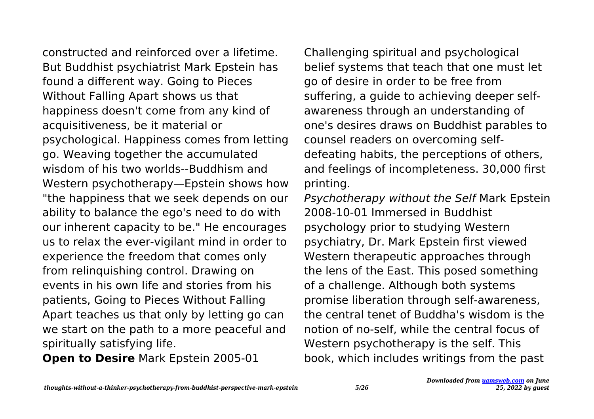constructed and reinforced over a lifetime. But Buddhist psychiatrist Mark Epstein has found a different way. Going to Pieces Without Falling Apart shows us that happiness doesn't come from any kind of acquisitiveness, be it material or psychological. Happiness comes from letting go. Weaving together the accumulated wisdom of his two worlds--Buddhism and Western psychotherapy—Epstein shows how "the happiness that we seek depends on our ability to balance the ego's need to do with our inherent capacity to be." He encourages us to relax the ever-vigilant mind in order to experience the freedom that comes only from relinquishing control. Drawing on events in his own life and stories from his patients, Going to Pieces Without Falling Apart teaches us that only by letting go can we start on the path to a more peaceful and spiritually satisfying life.

**Open to Desire** Mark Epstein 2005-01

Challenging spiritual and psychological belief systems that teach that one must let go of desire in order to be free from suffering, a guide to achieving deeper selfawareness through an understanding of one's desires draws on Buddhist parables to counsel readers on overcoming selfdefeating habits, the perceptions of others, and feelings of incompleteness. 30,000 first printing.

Psychotherapy without the Self Mark Epstein 2008-10-01 Immersed in Buddhist psychology prior to studying Western psychiatry, Dr. Mark Epstein first viewed Western therapeutic approaches through the lens of the East. This posed something of a challenge. Although both systems promise liberation through self-awareness, the central tenet of Buddha's wisdom is the notion of no-self, while the central focus of Western psychotherapy is the self. This book, which includes writings from the past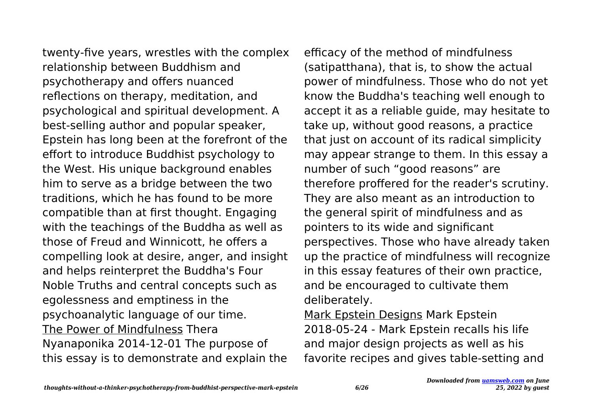twenty-five years, wrestles with the complex relationship between Buddhism and psychotherapy and offers nuanced reflections on therapy, meditation, and psychological and spiritual development. A best-selling author and popular speaker, Epstein has long been at the forefront of the effort to introduce Buddhist psychology to the West. His unique background enables him to serve as a bridge between the two traditions, which he has found to be more compatible than at first thought. Engaging with the teachings of the Buddha as well as those of Freud and Winnicott, he offers a compelling look at desire, anger, and insight and helps reinterpret the Buddha's Four Noble Truths and central concepts such as egolessness and emptiness in the psychoanalytic language of our time. The Power of Mindfulness Thera Nyanaponika 2014-12-01 The purpose of this essay is to demonstrate and explain the

efficacy of the method of mindfulness (satipatthana), that is, to show the actual power of mindfulness. Those who do not yet know the Buddha's teaching well enough to accept it as a reliable guide, may hesitate to take up, without good reasons, a practice that just on account of its radical simplicity may appear strange to them. In this essay a number of such "good reasons" are therefore proffered for the reader's scrutiny. They are also meant as an introduction to the general spirit of mindfulness and as pointers to its wide and significant perspectives. Those who have already taken up the practice of mindfulness will recognize in this essay features of their own practice, and be encouraged to cultivate them deliberately.

Mark Epstein Designs Mark Epstein 2018-05-24 - Mark Epstein recalls his life and major design projects as well as his favorite recipes and gives table-setting and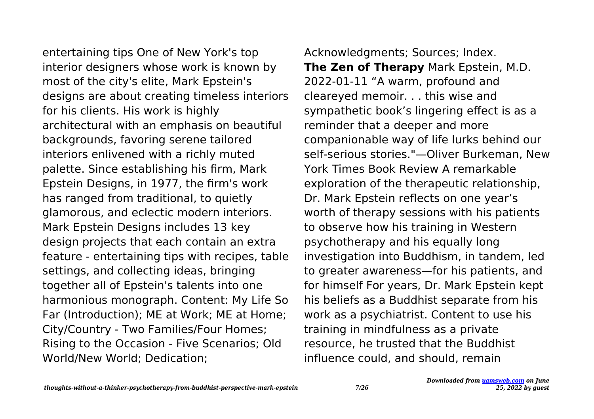entertaining tips One of New York's top interior designers whose work is known by most of the city's elite, Mark Epstein's designs are about creating timeless interiors for his clients. His work is highly architectural with an emphasis on beautiful backgrounds, favoring serene tailored interiors enlivened with a richly muted palette. Since establishing his firm, Mark Epstein Designs, in 1977, the firm's work has ranged from traditional, to quietly glamorous, and eclectic modern interiors. Mark Epstein Designs includes 13 key design projects that each contain an extra feature - entertaining tips with recipes, table settings, and collecting ideas, bringing together all of Epstein's talents into one harmonious monograph. Content: My Life So Far (Introduction); ME at Work; ME at Home; City/Country - Two Families/Four Homes; Rising to the Occasion - Five Scenarios; Old World/New World; Dedication;

Acknowledgments; Sources; Index. **The Zen of Therapy** Mark Epstein, M.D. 2022-01-11 "A warm, profound and cleareyed memoir. . . this wise and sympathetic book's lingering effect is as a reminder that a deeper and more companionable way of life lurks behind our self-serious stories."—Oliver Burkeman, New York Times Book Review A remarkable exploration of the therapeutic relationship, Dr. Mark Epstein reflects on one year's worth of therapy sessions with his patients to observe how his training in Western psychotherapy and his equally long investigation into Buddhism, in tandem, led to greater awareness—for his patients, and for himself For years, Dr. Mark Epstein kept his beliefs as a Buddhist separate from his work as a psychiatrist. Content to use his training in mindfulness as a private resource, he trusted that the Buddhist influence could, and should, remain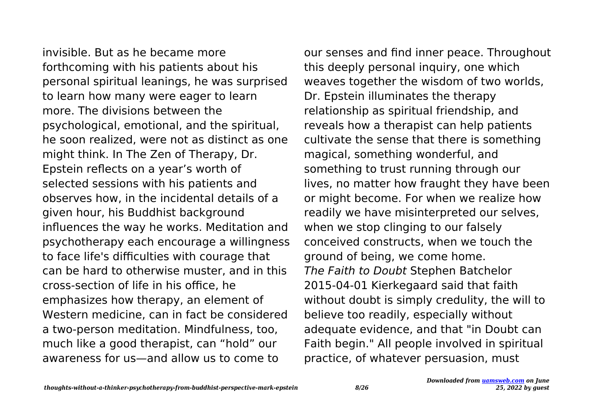invisible. But as he became more forthcoming with his patients about his personal spiritual leanings, he was surprised to learn how many were eager to learn more. The divisions between the psychological, emotional, and the spiritual, he soon realized, were not as distinct as one might think. In The Zen of Therapy, Dr. Epstein reflects on a year's worth of selected sessions with his patients and observes how, in the incidental details of a given hour, his Buddhist background influences the way he works. Meditation and psychotherapy each encourage a willingness to face life's difficulties with courage that can be hard to otherwise muster, and in this cross-section of life in his office, he emphasizes how therapy, an element of Western medicine, can in fact be considered a two-person meditation. Mindfulness, too, much like a good therapist, can "hold" our awareness for us—and allow us to come to

our senses and find inner peace. Throughout this deeply personal inquiry, one which weaves together the wisdom of two worlds, Dr. Epstein illuminates the therapy relationship as spiritual friendship, and reveals how a therapist can help patients cultivate the sense that there is something magical, something wonderful, and something to trust running through our lives, no matter how fraught they have been or might become. For when we realize how readily we have misinterpreted our selves, when we stop clinging to our falsely conceived constructs, when we touch the ground of being, we come home. The Faith to Doubt Stephen Batchelor 2015-04-01 Kierkegaard said that faith without doubt is simply credulity, the will to believe too readily, especially without adequate evidence, and that "in Doubt can Faith begin." All people involved in spiritual practice, of whatever persuasion, must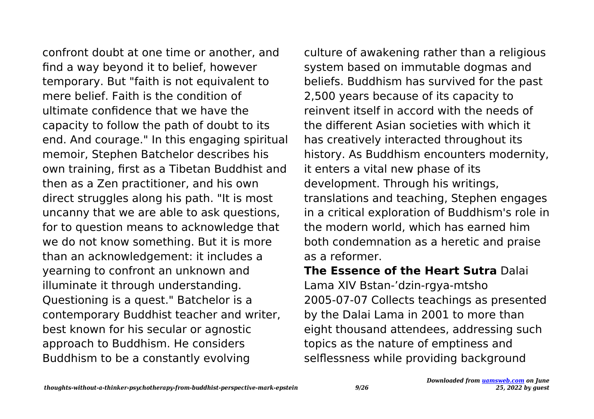confront doubt at one time or another, and find a way beyond it to belief, however temporary. But "faith is not equivalent to mere belief. Faith is the condition of ultimate confidence that we have the capacity to follow the path of doubt to its end. And courage." In this engaging spiritual memoir, Stephen Batchelor describes his own training, first as a Tibetan Buddhist and then as a Zen practitioner, and his own direct struggles along his path. "It is most uncanny that we are able to ask questions, for to question means to acknowledge that we do not know something. But it is more than an acknowledgement: it includes a yearning to confront an unknown and illuminate it through understanding. Questioning is a quest." Batchelor is a contemporary Buddhist teacher and writer, best known for his secular or agnostic approach to Buddhism. He considers Buddhism to be a constantly evolving

culture of awakening rather than a religious system based on immutable dogmas and beliefs. Buddhism has survived for the past 2,500 years because of its capacity to reinvent itself in accord with the needs of the different Asian societies with which it has creatively interacted throughout its history. As Buddhism encounters modernity, it enters a vital new phase of its development. Through his writings, translations and teaching, Stephen engages in a critical exploration of Buddhism's role in the modern world, which has earned him both condemnation as a heretic and praise as a reformer.

**The Essence of the Heart Sutra** Dalai Lama XIV Bstan-'dzin-rgya-mtsho 2005-07-07 Collects teachings as presented by the Dalai Lama in 2001 to more than eight thousand attendees, addressing such topics as the nature of emptiness and selflessness while providing background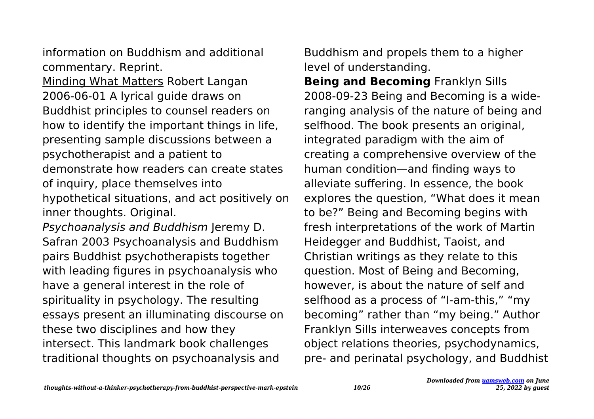information on Buddhism and additional commentary. Reprint. Minding What Matters Robert Langan 2006-06-01 A lyrical guide draws on Buddhist principles to counsel readers on how to identify the important things in life, presenting sample discussions between a psychotherapist and a patient to demonstrate how readers can create states of inquiry, place themselves into hypothetical situations, and act positively on inner thoughts. Original.

Psychoanalysis and Buddhism Jeremy D. Safran 2003 Psychoanalysis and Buddhism pairs Buddhist psychotherapists together with leading figures in psychoanalysis who have a general interest in the role of spirituality in psychology. The resulting essays present an illuminating discourse on these two disciplines and how they intersect. This landmark book challenges traditional thoughts on psychoanalysis and

Buddhism and propels them to a higher level of understanding.

**Being and Becoming** Franklyn Sills 2008-09-23 Being and Becoming is a wideranging analysis of the nature of being and selfhood. The book presents an original, integrated paradigm with the aim of creating a comprehensive overview of the human condition—and finding ways to alleviate suffering. In essence, the book explores the question, "What does it mean to be?" Being and Becoming begins with fresh interpretations of the work of Martin Heidegger and Buddhist, Taoist, and Christian writings as they relate to this question. Most of Being and Becoming, however, is about the nature of self and selfhood as a process of "I-am-this," "my becoming" rather than "my being." Author Franklyn Sills interweaves concepts from object relations theories, psychodynamics, pre- and perinatal psychology, and Buddhist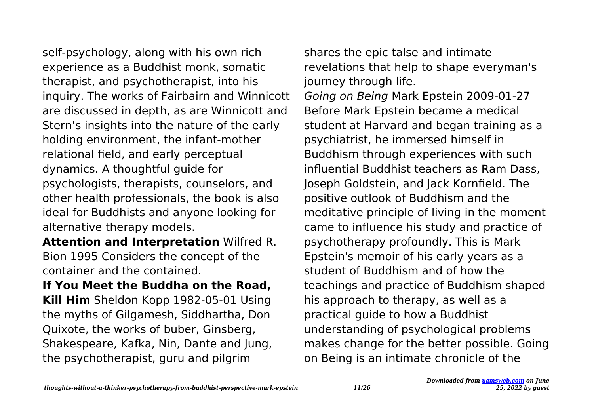self-psychology, along with his own rich experience as a Buddhist monk, somatic therapist, and psychotherapist, into his inquiry. The works of Fairbairn and Winnicott are discussed in depth, as are Winnicott and Stern's insights into the nature of the early holding environment, the infant-mother relational field, and early perceptual dynamics. A thoughtful guide for psychologists, therapists, counselors, and other health professionals, the book is also ideal for Buddhists and anyone looking for alternative therapy models.

**Attention and Interpretation** Wilfred R. Bion 1995 Considers the concept of the container and the contained.

**If You Meet the Buddha on the Road, Kill Him** Sheldon Kopp 1982-05-01 Using the myths of Gilgamesh, Siddhartha, Don Quixote, the works of buber, Ginsberg, Shakespeare, Kafka, Nin, Dante and Jung, the psychotherapist, guru and pilgrim

shares the epic talse and intimate revelations that help to shape everyman's journey through life. Going on Being Mark Epstein 2009-01-27 Before Mark Epstein became a medical student at Harvard and began training as a psychiatrist, he immersed himself in Buddhism through experiences with such influential Buddhist teachers as Ram Dass, Joseph Goldstein, and Jack Kornfield. The positive outlook of Buddhism and the meditative principle of living in the moment came to influence his study and practice of psychotherapy profoundly. This is Mark Epstein's memoir of his early years as a student of Buddhism and of how the teachings and practice of Buddhism shaped his approach to therapy, as well as a practical guide to how a Buddhist understanding of psychological problems makes change for the better possible. Going on Being is an intimate chronicle of the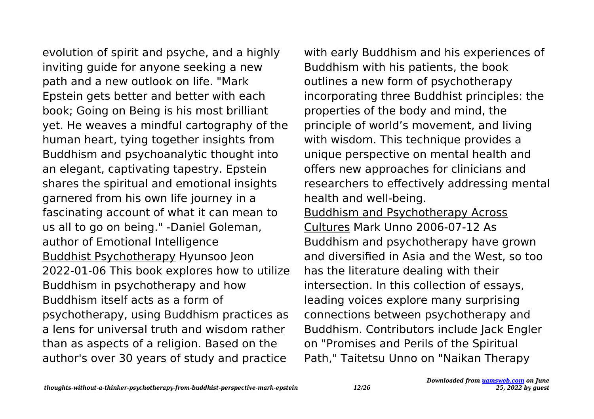evolution of spirit and psyche, and a highly inviting guide for anyone seeking a new path and a new outlook on life. "Mark Epstein gets better and better with each book; Going on Being is his most brilliant yet. He weaves a mindful cartography of the human heart, tying together insights from Buddhism and psychoanalytic thought into an elegant, captivating tapestry. Epstein shares the spiritual and emotional insights garnered from his own life journey in a fascinating account of what it can mean to us all to go on being." -Daniel Goleman, author of Emotional Intelligence Buddhist Psychotherapy Hyunsoo Jeon 2022-01-06 This book explores how to utilize Buddhism in psychotherapy and how Buddhism itself acts as a form of psychotherapy, using Buddhism practices as a lens for universal truth and wisdom rather than as aspects of a religion. Based on the author's over 30 years of study and practice

with early Buddhism and his experiences of Buddhism with his patients, the book outlines a new form of psychotherapy incorporating three Buddhist principles: the properties of the body and mind, the principle of world's movement, and living with wisdom. This technique provides a unique perspective on mental health and offers new approaches for clinicians and researchers to effectively addressing mental health and well-being. Buddhism and Psychotherapy Across Cultures Mark Unno 2006-07-12 As

Buddhism and psychotherapy have grown and diversified in Asia and the West, so too has the literature dealing with their intersection. In this collection of essays, leading voices explore many surprising connections between psychotherapy and Buddhism. Contributors include Jack Engler on "Promises and Perils of the Spiritual Path," Taitetsu Unno on "Naikan Therapy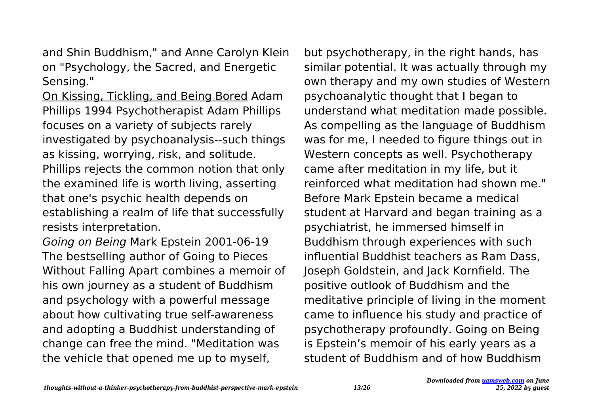and Shin Buddhism," and Anne Carolyn Klein on "Psychology, the Sacred, and Energetic Sensing."

On Kissing, Tickling, and Being Bored Adam Phillips 1994 Psychotherapist Adam Phillips focuses on a variety of subjects rarely investigated by psychoanalysis--such things as kissing, worrying, risk, and solitude. Phillips rejects the common notion that only the examined life is worth living, asserting that one's psychic health depends on establishing a realm of life that successfully resists interpretation.

Going on Being Mark Epstein 2001-06-19 The bestselling author of Going to Pieces Without Falling Apart combines a memoir of his own journey as a student of Buddhism and psychology with a powerful message about how cultivating true self-awareness and adopting a Buddhist understanding of change can free the mind. "Meditation was the vehicle that opened me up to myself,

but psychotherapy, in the right hands, has similar potential. It was actually through my own therapy and my own studies of Western psychoanalytic thought that I began to understand what meditation made possible. As compelling as the language of Buddhism was for me, I needed to figure things out in Western concepts as well. Psychotherapy came after meditation in my life, but it reinforced what meditation had shown me." Before Mark Epstein became a medical student at Harvard and began training as a psychiatrist, he immersed himself in Buddhism through experiences with such influential Buddhist teachers as Ram Dass, Joseph Goldstein, and Jack Kornfield. The positive outlook of Buddhism and the meditative principle of living in the moment came to influence his study and practice of psychotherapy profoundly. Going on Being is Epstein's memoir of his early years as a student of Buddhism and of how Buddhism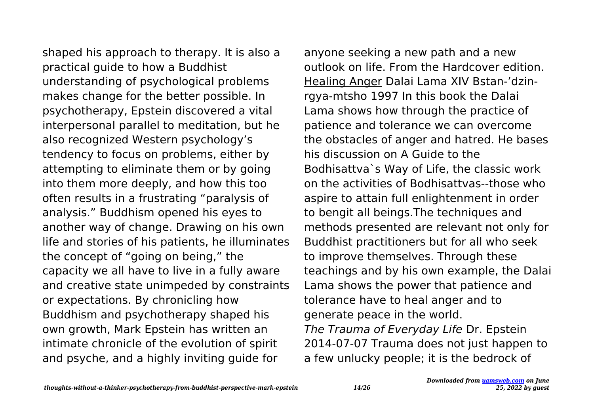shaped his approach to therapy. It is also a practical guide to how a Buddhist understanding of psychological problems makes change for the better possible. In psychotherapy, Epstein discovered a vital interpersonal parallel to meditation, but he also recognized Western psychology's tendency to focus on problems, either by attempting to eliminate them or by going into them more deeply, and how this too often results in a frustrating "paralysis of analysis." Buddhism opened his eyes to another way of change. Drawing on his own life and stories of his patients, he illuminates the concept of "going on being," the capacity we all have to live in a fully aware and creative state unimpeded by constraints or expectations. By chronicling how Buddhism and psychotherapy shaped his own growth, Mark Epstein has written an intimate chronicle of the evolution of spirit and psyche, and a highly inviting guide for

anyone seeking a new path and a new outlook on life. From the Hardcover edition. Healing Anger Dalai Lama XIV Bstan-'dzinrgya-mtsho 1997 In this book the Dalai Lama shows how through the practice of patience and tolerance we can overcome the obstacles of anger and hatred. He bases his discussion on A Guide to the Bodhisattva`s Way of Life, the classic work on the activities of Bodhisattvas--those who aspire to attain full enlightenment in order to bengit all beings.The techniques and methods presented are relevant not only for Buddhist practitioners but for all who seek to improve themselves. Through these teachings and by his own example, the Dalai Lama shows the power that patience and tolerance have to heal anger and to generate peace in the world. The Trauma of Everyday Life Dr. Epstein 2014-07-07 Trauma does not just happen to a few unlucky people; it is the bedrock of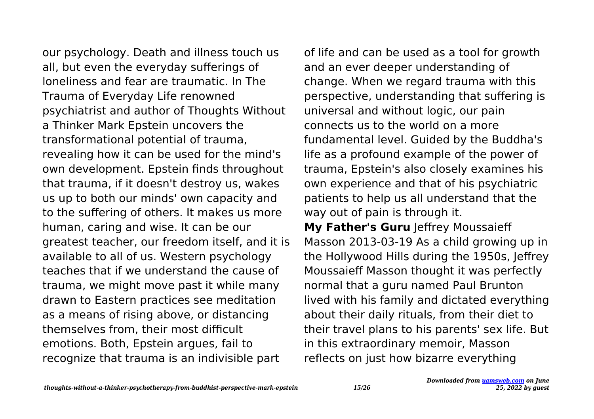our psychology. Death and illness touch us all, but even the everyday sufferings of loneliness and fear are traumatic. In The Trauma of Everyday Life renowned psychiatrist and author of Thoughts Without a Thinker Mark Epstein uncovers the transformational potential of trauma, revealing how it can be used for the mind's own development. Epstein finds throughout that trauma, if it doesn't destroy us, wakes us up to both our minds' own capacity and to the suffering of others. It makes us more human, caring and wise. It can be our greatest teacher, our freedom itself, and it is available to all of us. Western psychology teaches that if we understand the cause of trauma, we might move past it while many drawn to Eastern practices see meditation as a means of rising above, or distancing themselves from, their most difficult emotions. Both, Epstein argues, fail to recognize that trauma is an indivisible part

of life and can be used as a tool for growth and an ever deeper understanding of change. When we regard trauma with this perspective, understanding that suffering is universal and without logic, our pain connects us to the world on a more fundamental level. Guided by the Buddha's life as a profound example of the power of trauma, Epstein's also closely examines his own experience and that of his psychiatric patients to help us all understand that the way out of pain is through it.

**My Father's Guru** Jeffrey Moussaieff Masson 2013-03-19 As a child growing up in the Hollywood Hills during the 1950s, Jeffrey Moussaieff Masson thought it was perfectly normal that a guru named Paul Brunton lived with his family and dictated everything about their daily rituals, from their diet to their travel plans to his parents' sex life. But in this extraordinary memoir, Masson reflects on just how bizarre everything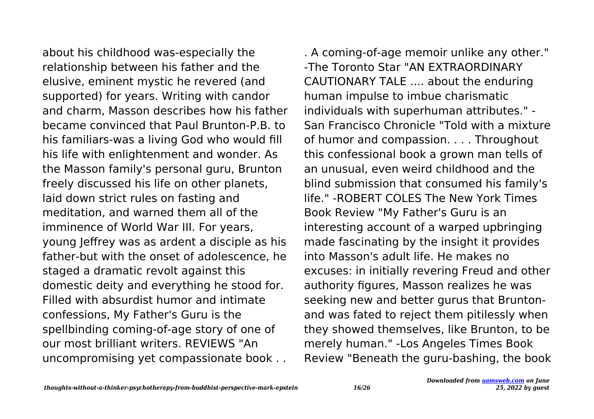about his childhood was-especially the relationship between his father and the elusive, eminent mystic he revered (and supported) for years. Writing with candor and charm, Masson describes how his father became convinced that Paul Brunton-P.B. to his familiars-was a living God who would fill his life with enlightenment and wonder. As the Masson family's personal guru, Brunton freely discussed his life on other planets, laid down strict rules on fasting and meditation, and warned them all of the imminence of World War III. For years, young Jeffrey was as ardent a disciple as his father-but with the onset of adolescence, he staged a dramatic revolt against this domestic deity and everything he stood for. Filled with absurdist humor and intimate confessions, My Father's Guru is the spellbinding coming-of-age story of one of our most brilliant writers. REVIEWS "An uncompromising yet compassionate book . .

. A coming-of-age memoir unlike any other." -The Toronto Star "AN EXTRAORDINARY CAUTIONARY TALE .... about the enduring human impulse to imbue charismatic individuals with superhuman attributes." - San Francisco Chronicle "Told with a mixture of humor and compassion. . . . Throughout this confessional book a grown man tells of an unusual, even weird childhood and the blind submission that consumed his family's life." -ROBERT COLES The New York Times Book Review "My Father's Guru is an interesting account of a warped upbringing made fascinating by the insight it provides into Masson's adult life. He makes no excuses: in initially revering Freud and other authority figures, Masson realizes he was seeking new and better gurus that Bruntonand was fated to reject them pitilessly when they showed themselves, like Brunton, to be merely human." -Los Angeles Times Book Review "Beneath the guru-bashing, the book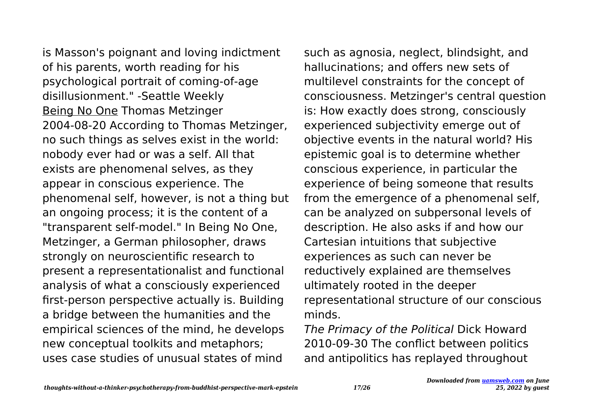is Masson's poignant and loving indictment of his parents, worth reading for his psychological portrait of coming-of-age disillusionment." -Seattle Weekly Being No One Thomas Metzinger 2004-08-20 According to Thomas Metzinger, no such things as selves exist in the world: nobody ever had or was a self. All that exists are phenomenal selves, as they appear in conscious experience. The phenomenal self, however, is not a thing but an ongoing process; it is the content of a "transparent self-model." In Being No One, Metzinger, a German philosopher, draws strongly on neuroscientific research to present a representationalist and functional analysis of what a consciously experienced first-person perspective actually is. Building a bridge between the humanities and the empirical sciences of the mind, he develops new conceptual toolkits and metaphors; uses case studies of unusual states of mind

such as agnosia, neglect, blindsight, and hallucinations; and offers new sets of multilevel constraints for the concept of consciousness. Metzinger's central question is: How exactly does strong, consciously experienced subjectivity emerge out of objective events in the natural world? His epistemic goal is to determine whether conscious experience, in particular the experience of being someone that results from the emergence of a phenomenal self, can be analyzed on subpersonal levels of description. He also asks if and how our Cartesian intuitions that subjective experiences as such can never be reductively explained are themselves ultimately rooted in the deeper representational structure of our conscious minds.

The Primacy of the Political Dick Howard 2010-09-30 The conflict between politics and antipolitics has replayed throughout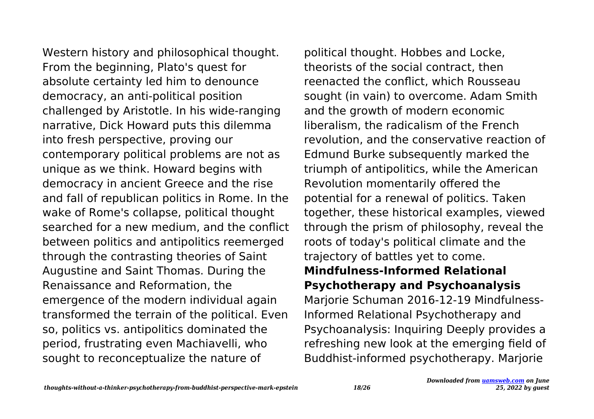Western history and philosophical thought. From the beginning, Plato's quest for absolute certainty led him to denounce democracy, an anti-political position challenged by Aristotle. In his wide-ranging narrative, Dick Howard puts this dilemma into fresh perspective, proving our contemporary political problems are not as unique as we think. Howard begins with democracy in ancient Greece and the rise and fall of republican politics in Rome. In the wake of Rome's collapse, political thought searched for a new medium, and the conflict between politics and antipolitics reemerged through the contrasting theories of Saint Augustine and Saint Thomas. During the Renaissance and Reformation, the emergence of the modern individual again transformed the terrain of the political. Even so, politics vs. antipolitics dominated the period, frustrating even Machiavelli, who sought to reconceptualize the nature of

political thought. Hobbes and Locke, theorists of the social contract, then reenacted the conflict, which Rousseau sought (in vain) to overcome. Adam Smith and the growth of modern economic liberalism, the radicalism of the French revolution, and the conservative reaction of Edmund Burke subsequently marked the triumph of antipolitics, while the American Revolution momentarily offered the potential for a renewal of politics. Taken together, these historical examples, viewed through the prism of philosophy, reveal the roots of today's political climate and the trajectory of battles yet to come. **Mindfulness-Informed Relational Psychotherapy and Psychoanalysis** Marjorie Schuman 2016-12-19 Mindfulness-Informed Relational Psychotherapy and Psychoanalysis: Inquiring Deeply provides a refreshing new look at the emerging field of Buddhist-informed psychotherapy. Marjorie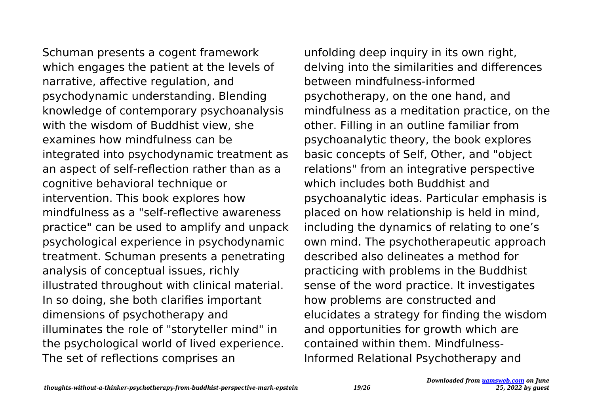Schuman presents a cogent framework which engages the patient at the levels of narrative, affective regulation, and psychodynamic understanding. Blending knowledge of contemporary psychoanalysis with the wisdom of Buddhist view, she examines how mindfulness can be integrated into psychodynamic treatment as an aspect of self-reflection rather than as a cognitive behavioral technique or intervention. This book explores how mindfulness as a "self-reflective awareness practice" can be used to amplify and unpack psychological experience in psychodynamic treatment. Schuman presents a penetrating analysis of conceptual issues, richly illustrated throughout with clinical material. In so doing, she both clarifies important dimensions of psychotherapy and illuminates the role of "storyteller mind" in the psychological world of lived experience. The set of reflections comprises an

unfolding deep inquiry in its own right, delving into the similarities and differences between mindfulness-informed psychotherapy, on the one hand, and mindfulness as a meditation practice, on the other. Filling in an outline familiar from psychoanalytic theory, the book explores basic concepts of Self, Other, and "object relations" from an integrative perspective which includes both Buddhist and psychoanalytic ideas. Particular emphasis is placed on how relationship is held in mind, including the dynamics of relating to one's own mind. The psychotherapeutic approach described also delineates a method for practicing with problems in the Buddhist sense of the word practice. It investigates how problems are constructed and elucidates a strategy for finding the wisdom and opportunities for growth which are contained within them. Mindfulness-Informed Relational Psychotherapy and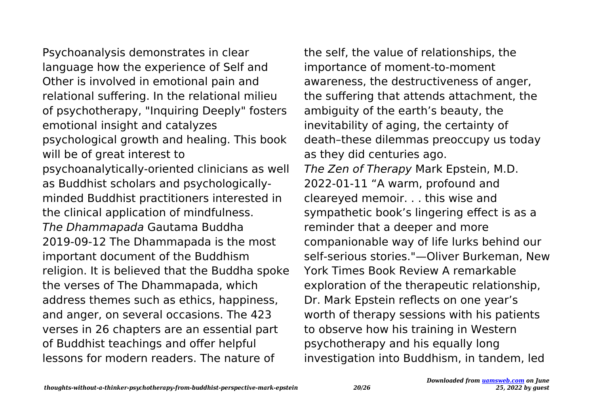Psychoanalysis demonstrates in clear language how the experience of Self and Other is involved in emotional pain and relational suffering. In the relational milieu of psychotherapy, "Inquiring Deeply" fosters emotional insight and catalyzes psychological growth and healing. This book will be of great interest to psychoanalytically-oriented clinicians as well as Buddhist scholars and psychologicallyminded Buddhist practitioners interested in the clinical application of mindfulness. The Dhammapada Gautama Buddha 2019-09-12 The Dhammapada is the most important document of the Buddhism religion. It is believed that the Buddha spoke the verses of The Dhammapada, which address themes such as ethics, happiness, and anger, on several occasions. The 423 verses in 26 chapters are an essential part of Buddhist teachings and offer helpful lessons for modern readers. The nature of

the self, the value of relationships, the importance of moment-to-moment awareness, the destructiveness of anger, the suffering that attends attachment, the ambiguity of the earth's beauty, the inevitability of aging, the certainty of death–these dilemmas preoccupy us today as they did centuries ago. The Zen of Therapy Mark Epstein, M.D. 2022-01-11 "A warm, profound and cleareyed memoir. . . this wise and sympathetic book's lingering effect is as a reminder that a deeper and more companionable way of life lurks behind our self-serious stories."—Oliver Burkeman, New York Times Book Review A remarkable exploration of the therapeutic relationship, Dr. Mark Epstein reflects on one year's worth of therapy sessions with his patients to observe how his training in Western psychotherapy and his equally long investigation into Buddhism, in tandem, led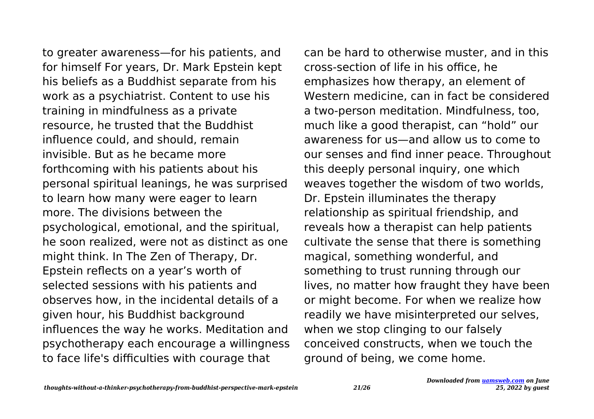to greater awareness—for his patients, and for himself For years, Dr. Mark Epstein kept his beliefs as a Buddhist separate from his work as a psychiatrist. Content to use his training in mindfulness as a private resource, he trusted that the Buddhist influence could, and should, remain invisible. But as he became more forthcoming with his patients about his personal spiritual leanings, he was surprised to learn how many were eager to learn more. The divisions between the psychological, emotional, and the spiritual, he soon realized, were not as distinct as one might think. In The Zen of Therapy, Dr. Epstein reflects on a year's worth of selected sessions with his patients and observes how, in the incidental details of a given hour, his Buddhist background influences the way he works. Meditation and psychotherapy each encourage a willingness to face life's difficulties with courage that

can be hard to otherwise muster, and in this cross-section of life in his office, he emphasizes how therapy, an element of Western medicine, can in fact be considered a two-person meditation. Mindfulness, too, much like a good therapist, can "hold" our awareness for us—and allow us to come to our senses and find inner peace. Throughout this deeply personal inquiry, one which weaves together the wisdom of two worlds, Dr. Epstein illuminates the therapy relationship as spiritual friendship, and reveals how a therapist can help patients cultivate the sense that there is something magical, something wonderful, and something to trust running through our lives, no matter how fraught they have been or might become. For when we realize how readily we have misinterpreted our selves, when we stop clinging to our falsely conceived constructs, when we touch the ground of being, we come home.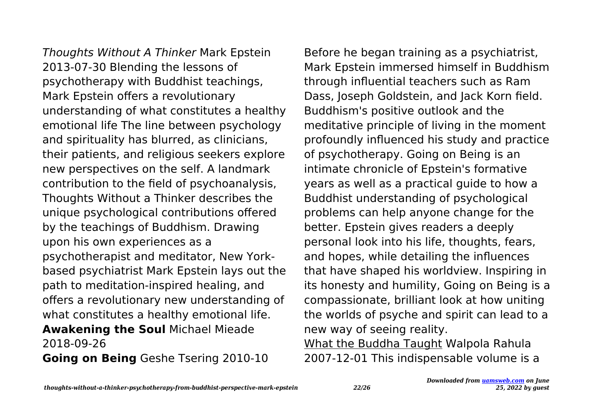Thoughts Without A Thinker Mark Epstein 2013-07-30 Blending the lessons of psychotherapy with Buddhist teachings, Mark Epstein offers a revolutionary understanding of what constitutes a healthy emotional life The line between psychology and spirituality has blurred, as clinicians, their patients, and religious seekers explore new perspectives on the self. A landmark contribution to the field of psychoanalysis, Thoughts Without a Thinker describes the unique psychological contributions offered by the teachings of Buddhism. Drawing upon his own experiences as a psychotherapist and meditator, New Yorkbased psychiatrist Mark Epstein lays out the path to meditation-inspired healing, and offers a revolutionary new understanding of what constitutes a healthy emotional life. **Awakening the Soul** Michael Mieade 2018-09-26

**Going on Being** Geshe Tsering 2010-10

Before he began training as a psychiatrist, Mark Epstein immersed himself in Buddhism through influential teachers such as Ram Dass, Joseph Goldstein, and Jack Korn field. Buddhism's positive outlook and the meditative principle of living in the moment profoundly influenced his study and practice of psychotherapy. Going on Being is an intimate chronicle of Epstein's formative years as well as a practical guide to how a Buddhist understanding of psychological problems can help anyone change for the better. Epstein gives readers a deeply personal look into his life, thoughts, fears, and hopes, while detailing the influences that have shaped his worldview. Inspiring in its honesty and humility, Going on Being is a compassionate, brilliant look at how uniting the worlds of psyche and spirit can lead to a new way of seeing reality. What the Buddha Taught Walpola Rahula 2007-12-01 This indispensable volume is a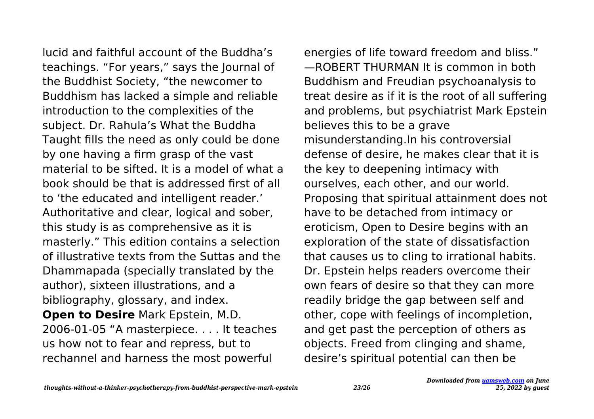lucid and faithful account of the Buddha's teachings. "For years," says the Journal of the Buddhist Society, "the newcomer to Buddhism has lacked a simple and reliable introduction to the complexities of the subject. Dr. Rahula's What the Buddha Taught fills the need as only could be done by one having a firm grasp of the vast material to be sifted. It is a model of what a book should be that is addressed first of all to 'the educated and intelligent reader.' Authoritative and clear, logical and sober, this study is as comprehensive as it is masterly." This edition contains a selection of illustrative texts from the Suttas and the Dhammapada (specially translated by the author), sixteen illustrations, and a bibliography, glossary, and index. **Open to Desire** Mark Epstein, M.D. 2006-01-05 "A masterpiece. . . . It teaches us how not to fear and repress, but to

energies of life toward freedom and bliss." —ROBERT THURMAN It is common in both Buddhism and Freudian psychoanalysis to treat desire as if it is the root of all suffering and problems, but psychiatrist Mark Epstein believes this to be a grave misunderstanding.In his controversial defense of desire, he makes clear that it is the key to deepening intimacy with ourselves, each other, and our world. Proposing that spiritual attainment does not have to be detached from intimacy or eroticism, Open to Desire begins with an exploration of the state of dissatisfaction that causes us to cling to irrational habits. Dr. Epstein helps readers overcome their own fears of desire so that they can more readily bridge the gap between self and other, cope with feelings of incompletion, and get past the perception of others as objects. Freed from clinging and shame, desire's spiritual potential can then be

rechannel and harness the most powerful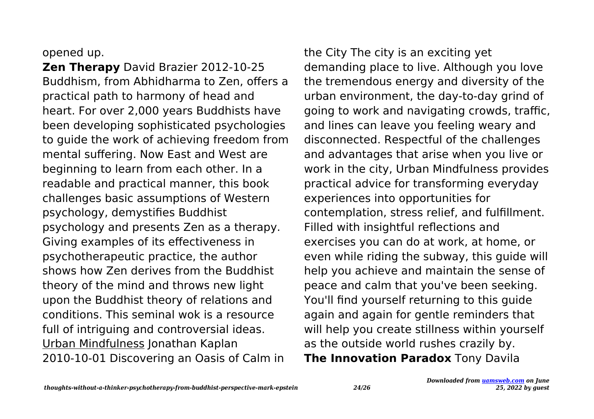## opened up.

**Zen Therapy** David Brazier 2012-10-25 Buddhism, from Abhidharma to Zen, offers a practical path to harmony of head and heart. For over 2,000 years Buddhists have been developing sophisticated psychologies to guide the work of achieving freedom from mental suffering. Now East and West are beginning to learn from each other. In a readable and practical manner, this book challenges basic assumptions of Western psychology, demystifies Buddhist psychology and presents Zen as a therapy. Giving examples of its effectiveness in psychotherapeutic practice, the author shows how Zen derives from the Buddhist theory of the mind and throws new light upon the Buddhist theory of relations and conditions. This seminal wok is a resource full of intriguing and controversial ideas. Urban Mindfulness Jonathan Kaplan 2010-10-01 Discovering an Oasis of Calm in

the City The city is an exciting yet demanding place to live. Although you love the tremendous energy and diversity of the urban environment, the day-to-day grind of going to work and navigating crowds, traffic, and lines can leave you feeling weary and disconnected. Respectful of the challenges and advantages that arise when you live or work in the city, Urban Mindfulness provides practical advice for transforming everyday experiences into opportunities for contemplation, stress relief, and fulfillment. Filled with insightful reflections and exercises you can do at work, at home, or even while riding the subway, this guide will help you achieve and maintain the sense of peace and calm that you've been seeking. You'll find yourself returning to this guide again and again for gentle reminders that will help you create stillness within yourself as the outside world rushes crazily by. **The Innovation Paradox** Tony Davila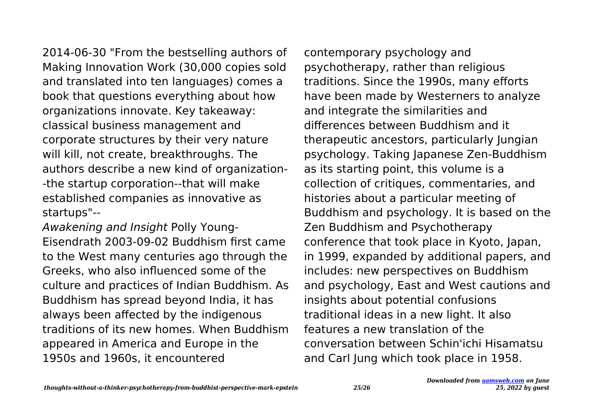2014-06-30 "From the bestselling authors of Making Innovation Work (30,000 copies sold and translated into ten languages) comes a book that questions everything about how organizations innovate. Key takeaway: classical business management and corporate structures by their very nature will kill, not create, breakthroughs. The authors describe a new kind of organization- -the startup corporation--that will make established companies as innovative as startups"--

Awakening and Insight Polly Young-Eisendrath 2003-09-02 Buddhism first came to the West many centuries ago through the Greeks, who also influenced some of the culture and practices of Indian Buddhism. As Buddhism has spread beyond India, it has always been affected by the indigenous traditions of its new homes. When Buddhism appeared in America and Europe in the 1950s and 1960s, it encountered

contemporary psychology and psychotherapy, rather than religious traditions. Since the 1990s, many efforts have been made by Westerners to analyze and integrate the similarities and differences between Buddhism and it therapeutic ancestors, particularly Jungian psychology. Taking Japanese Zen-Buddhism as its starting point, this volume is a collection of critiques, commentaries, and histories about a particular meeting of Buddhism and psychology. It is based on the Zen Buddhism and Psychotherapy conference that took place in Kyoto, Japan, in 1999, expanded by additional papers, and includes: new perspectives on Buddhism and psychology, East and West cautions and insights about potential confusions traditional ideas in a new light. It also features a new translation of the conversation between Schin'ichi Hisamatsu and Carl Jung which took place in 1958.